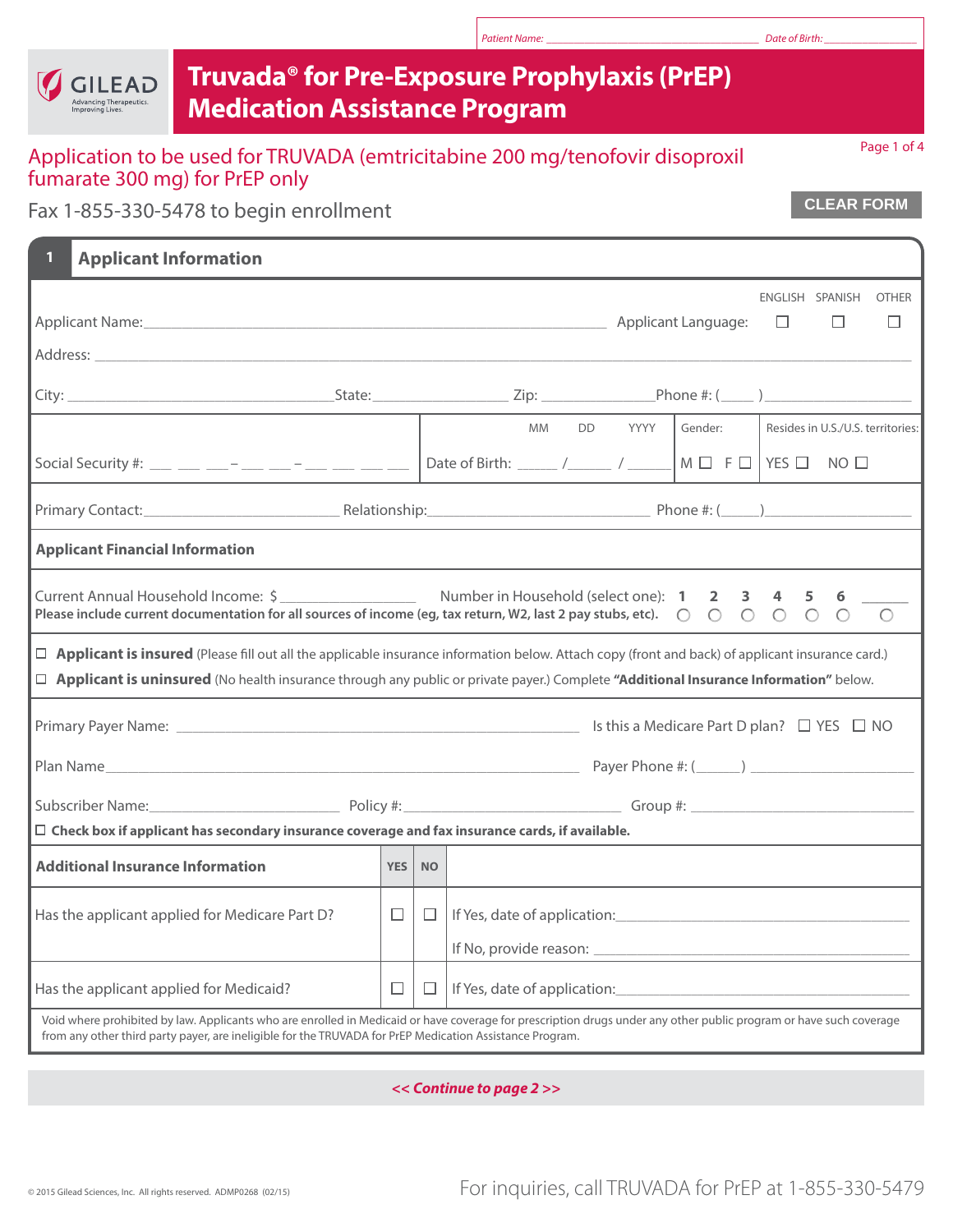| Truvada <sup>®</sup> for Pre-Exposure Prophylaxis (PrEP)<br><b>GILEAD</b><br>dvancing Therapeutics.<br><b>Medication Assistance Program</b><br><b>Improving Lives</b> |                                                                                                                  |           |                                                                                                                                                                                                                                                                                              |  |  |  |  |  |  |
|-----------------------------------------------------------------------------------------------------------------------------------------------------------------------|------------------------------------------------------------------------------------------------------------------|-----------|----------------------------------------------------------------------------------------------------------------------------------------------------------------------------------------------------------------------------------------------------------------------------------------------|--|--|--|--|--|--|
| Application to be used for TRUVADA (emtricitabine 200 mg/tenofovir disoproxil<br>fumarate 300 mg) for PrEP only                                                       |                                                                                                                  |           | Page 1 of 4                                                                                                                                                                                                                                                                                  |  |  |  |  |  |  |
| Fax 1-855-330-5478 to begin enrollment                                                                                                                                | <b>CLEAR FORM</b>                                                                                                |           |                                                                                                                                                                                                                                                                                              |  |  |  |  |  |  |
| <b>Applicant Information</b>                                                                                                                                          |                                                                                                                  |           |                                                                                                                                                                                                                                                                                              |  |  |  |  |  |  |
|                                                                                                                                                                       | ENGLISH SPANISH<br><b>OTHER</b><br>$\Box$<br>$\Box$<br>□                                                         |           |                                                                                                                                                                                                                                                                                              |  |  |  |  |  |  |
|                                                                                                                                                                       |                                                                                                                  |           |                                                                                                                                                                                                                                                                                              |  |  |  |  |  |  |
|                                                                                                                                                                       |                                                                                                                  |           | <b>MM</b><br>DD YYYY<br>Gender:<br>Resides in U.S./U.S. territories:<br>Social Security #: __ __ __ __ -_ __ -_ __ __ __ __   Date of Birth: _____ /_____ / _____   M $\Box$ F $\Box$   YES $\Box$ NO $\Box$                                                                                 |  |  |  |  |  |  |
|                                                                                                                                                                       |                                                                                                                  |           |                                                                                                                                                                                                                                                                                              |  |  |  |  |  |  |
| <b>Applicant Financial Information</b>                                                                                                                                |                                                                                                                  |           |                                                                                                                                                                                                                                                                                              |  |  |  |  |  |  |
|                                                                                                                                                                       |                                                                                                                  |           |                                                                                                                                                                                                                                                                                              |  |  |  |  |  |  |
|                                                                                                                                                                       |                                                                                                                  |           | □ Applicant is insured (Please fill out all the applicable insurance information below. Attach copy (front and back) of applicant insurance card.)<br>□ Applicant is uninsured (No health insurance through any public or private payer.) Complete "Additional Insurance Information" below. |  |  |  |  |  |  |
|                                                                                                                                                                       |                                                                                                                  |           | Is this a Medicare Part D plan? $\Box$ YES $\Box$ NO                                                                                                                                                                                                                                         |  |  |  |  |  |  |
| Plan Name                                                                                                                                                             | and the control of the control of the control of the control of the control of the control of the control of the |           |                                                                                                                                                                                                                                                                                              |  |  |  |  |  |  |
|                                                                                                                                                                       | Group #: $\_$                                                                                                    |           |                                                                                                                                                                                                                                                                                              |  |  |  |  |  |  |
| $\Box$ Check box if applicant has secondary insurance coverage and fax insurance cards, if available.                                                                 |                                                                                                                  |           |                                                                                                                                                                                                                                                                                              |  |  |  |  |  |  |
| <b>Additional Insurance Information</b>                                                                                                                               | <b>YES</b>                                                                                                       | <b>NO</b> |                                                                                                                                                                                                                                                                                              |  |  |  |  |  |  |
| Has the applicant applied for Medicare Part D?                                                                                                                        | $\Box$                                                                                                           | $\Box$    |                                                                                                                                                                                                                                                                                              |  |  |  |  |  |  |
| Has the applicant applied for Medicaid?                                                                                                                               | $\Box$                                                                                                           | $\Box$    |                                                                                                                                                                                                                                                                                              |  |  |  |  |  |  |
| from any other third party payer, are ineligible for the TRUVADA for PrEP Medication Assistance Program.                                                              |                                                                                                                  |           | Void where prohibited by law. Applicants who are enrolled in Medicaid or have coverage for prescription drugs under any other public program or have such coverage                                                                                                                           |  |  |  |  |  |  |

'n

*<< Continue to page 2 >>*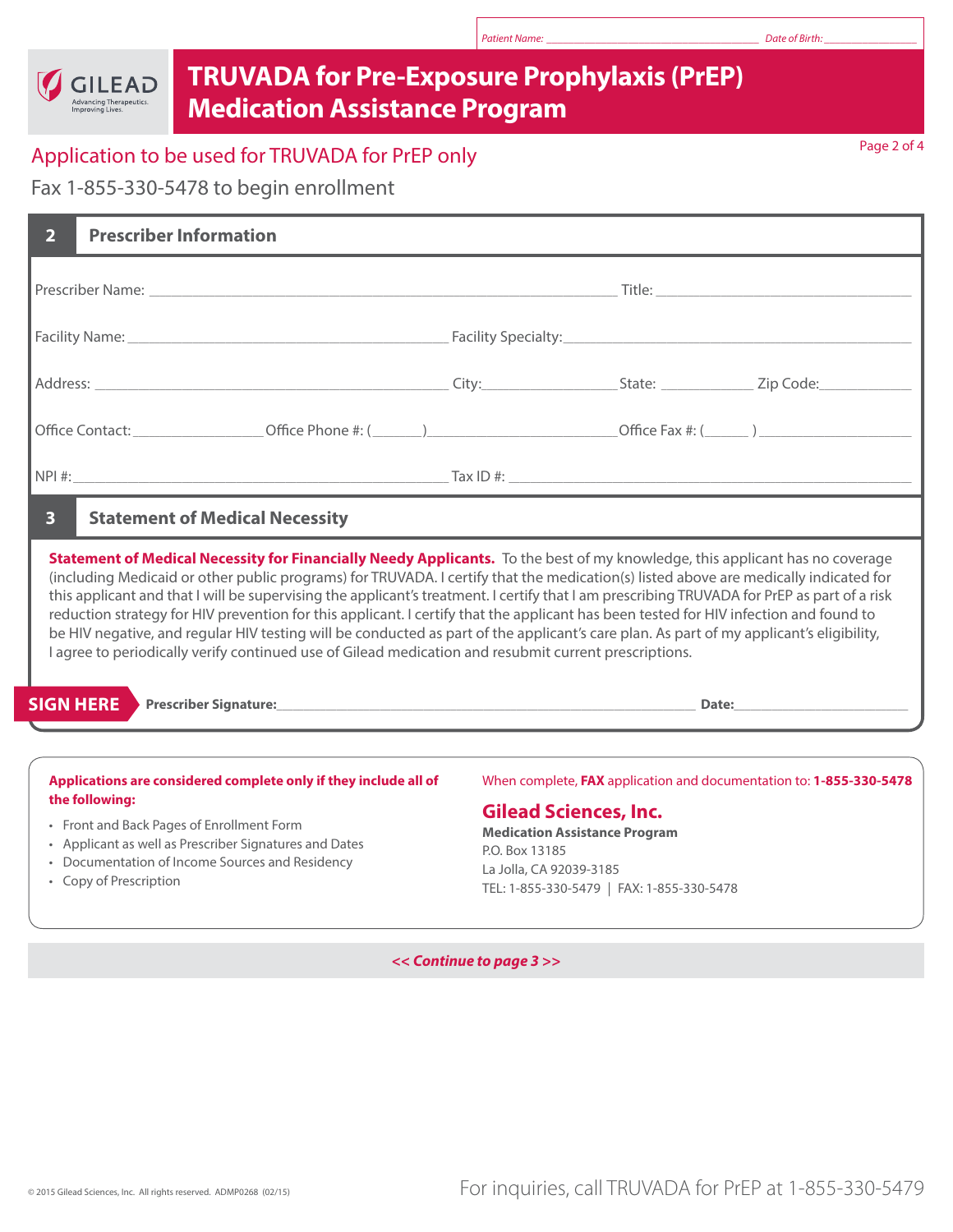## **TRUVADA for Pre-Exposure Prophylaxis (PrEP) Medication Assistance Program**

# Application to be used for TRUVADA for PrEP only and the contract of the contract of the Page 2 of 4

Fax 1-855-330-5478 to begin enrollment

GILEAD Advancing Therapeutics.<br>Improving Lives.

| <b>Prescriber Information</b><br>$\overline{2}$                                                                                                                                                                                                                                                                                                                                                                                                                                                                                                                                                                                                                                                                                                                                                                  |                                                                                                                                                                                                                                       |  |  |  |  |  |  |  |
|------------------------------------------------------------------------------------------------------------------------------------------------------------------------------------------------------------------------------------------------------------------------------------------------------------------------------------------------------------------------------------------------------------------------------------------------------------------------------------------------------------------------------------------------------------------------------------------------------------------------------------------------------------------------------------------------------------------------------------------------------------------------------------------------------------------|---------------------------------------------------------------------------------------------------------------------------------------------------------------------------------------------------------------------------------------|--|--|--|--|--|--|--|
|                                                                                                                                                                                                                                                                                                                                                                                                                                                                                                                                                                                                                                                                                                                                                                                                                  |                                                                                                                                                                                                                                       |  |  |  |  |  |  |  |
|                                                                                                                                                                                                                                                                                                                                                                                                                                                                                                                                                                                                                                                                                                                                                                                                                  |                                                                                                                                                                                                                                       |  |  |  |  |  |  |  |
|                                                                                                                                                                                                                                                                                                                                                                                                                                                                                                                                                                                                                                                                                                                                                                                                                  |                                                                                                                                                                                                                                       |  |  |  |  |  |  |  |
|                                                                                                                                                                                                                                                                                                                                                                                                                                                                                                                                                                                                                                                                                                                                                                                                                  |                                                                                                                                                                                                                                       |  |  |  |  |  |  |  |
|                                                                                                                                                                                                                                                                                                                                                                                                                                                                                                                                                                                                                                                                                                                                                                                                                  |                                                                                                                                                                                                                                       |  |  |  |  |  |  |  |
| $\overline{\mathbf{3}}$<br><b>Statement of Medical Necessity</b>                                                                                                                                                                                                                                                                                                                                                                                                                                                                                                                                                                                                                                                                                                                                                 |                                                                                                                                                                                                                                       |  |  |  |  |  |  |  |
| Statement of Medical Necessity for Financially Needy Applicants. To the best of my knowledge, this applicant has no coverage<br>(including Medicaid or other public programs) for TRUVADA. I certify that the medication(s) listed above are medically indicated for<br>this applicant and that I will be supervising the applicant's treatment. I certify that I am prescribing TRUVADA for PrEP as part of a risk<br>reduction strategy for HIV prevention for this applicant. I certify that the applicant has been tested for HIV infection and found to<br>be HIV negative, and regular HIV testing will be conducted as part of the applicant's care plan. As part of my applicant's eligibility,<br>I agree to periodically verify continued use of Gilead medication and resubmit current prescriptions. |                                                                                                                                                                                                                                       |  |  |  |  |  |  |  |
| <b>SIGN HERE</b>                                                                                                                                                                                                                                                                                                                                                                                                                                                                                                                                                                                                                                                                                                                                                                                                 |                                                                                                                                                                                                                                       |  |  |  |  |  |  |  |
| Applications are considered complete only if they include all of<br>the following:<br>• Front and Back Pages of Enrollment Form<br>• Applicant as well as Prescriber Signatures and Dates<br>• Documentation of Income Sources and Residency<br>• Copy of Prescription                                                                                                                                                                                                                                                                                                                                                                                                                                                                                                                                           | When complete, FAX application and documentation to: 1-855-330-5478<br><b>Gilead Sciences, Inc.</b><br><b>Medication Assistance Program</b><br>P.O. Box 13185<br>La Jolla, CA 92039-3185<br>TEL: 1-855-330-5479   FAX: 1-855-330-5478 |  |  |  |  |  |  |  |

*<< Continue to page 3 >>*

*Patient Name: \_\_\_\_\_\_\_\_\_\_\_\_\_\_\_\_\_\_\_\_\_\_\_\_\_\_\_\_\_\_\_\_\_\_\_\_\_\_\_ Date of Birth: \_\_\_\_\_\_\_\_\_\_\_\_\_\_\_\_\_*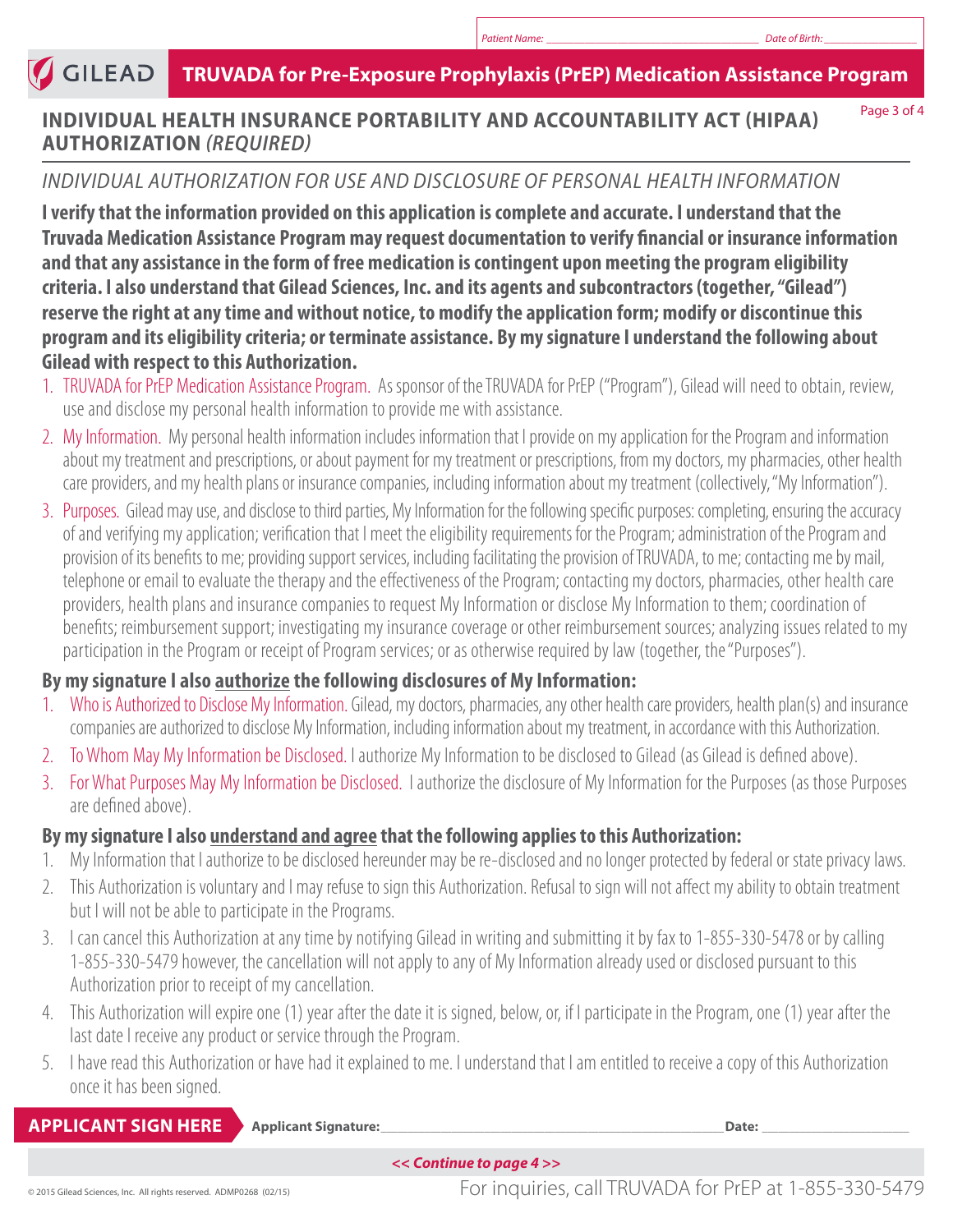#### **GILEAD TRUVADA for Pre-Exposure Prophylaxis (PrEP) Medication Assistance Program**

#### **INDIVIDUAL HEALTH INSURANCE PORTABILITY AND ACCOUNTABILITY ACT (HIPAA) AUTHORIZATION** *(REQUIRED)*

Page 3 of 4

#### *INDIVIDUAL AUTHORIZATION FOR USE AND DISCLOSURE OF PERSONAL HEALTH INFORMATION*

**I verify that the information provided on this application is complete and accurate. I understand that the Truvada Medication Assistance Program may request documentation to verify financial or insurance information and that any assistance in the form of free medication is contingent upon meeting the program eligibility criteria. I also understand that Gilead Sciences, Inc. and its agents and subcontractors (together, "Gilead") reserve the right at any time and without notice, to modify the application form; modify or discontinue this program and its eligibility criteria; or terminate assistance. By my signature I understand the following about Gilead with respect to this Authorization.**

- 1. TRUVADA for PrEP Medication Assistance Program. As sponsor of the TRUVADA for PrEP ("Program"), Gilead will need to obtain, review, use and disclose my personal health information to provide me with assistance.
- 2. My Information. My personal health information includes information that I provide on my application for the Program and information about my treatment and prescriptions, or about payment for my treatment or prescriptions, from my doctors, my pharmacies, other health care providers, and my health plans or insurance companies, including information about my treatment (collectively, "My Information").
- 3. Purposes. Gilead may use, and disclose to third parties, My Information for the following specific purposes: completing, ensuring the accuracy of and verifying my application; verification that I meet the eligibility requirements for the Program; administration of the Program and provision of its benefits to me; providing support services, including facilitating the provision of TRUVADA, to me; contacting me by mail, telephone or email to evaluate the therapy and the effectiveness of the Program; contacting my doctors, pharmacies, other health care providers, health plans and insurance companies to request My Information or disclose My Information to them; coordination of benefits; reimbursement support; investigating my insurance coverage or other reimbursement sources; analyzing issues related to my participation in the Program or receipt of Program services; or as otherwise required by law (together, the "Purposes").

## **By my signature I also authorize the following disclosures of My Information:**

- 1. Who is Authorized to Disclose My Information. Gilead, my doctors, pharmacies, any other health care providers, health plan(s) and insurance companies are authorized to disclose My Information, including information about my treatment, in accordance with this Authorization.
- 2. To Whom May My Information be Disclosed. I authorize My Information to be disclosed to Gilead (as Gilead is defined above).
- 3. For What Purposes May My Information be Disclosed. I authorize the disclosure of My Information for the Purposes (as those Purposes are defined above).

## **By my signature I also understand and agree that the following applies to this Authorization:**

- 1. My Information that I authorize to be disclosed hereunder may be re-disclosed and no longer protected by federal or state privacy laws.
- 2. This Authorization is voluntary and I may refuse to sign this Authorization. Refusal to sign will not affect my ability to obtain treatment but I will not be able to participate in the Programs.
- 3. I can cancel this Authorization at any time by notifying Gilead in writing and submitting it by fax to 1-855-330-5478 or by calling 1-855-330-5479 however, the cancellation will not apply to any of My Information already used or disclosed pursuant to this Authorization prior to receipt of my cancellation.
- 4. This Authorization will expire one (1) year after the date it is signed, below, or, if I participate in the Program, one (1) year after the last date I receive any product or service through the Program.
- 5. I have read this Authorization or have had it explained to me. I understand that I am entitled to receive a copy of this Authorization once it has been signed.

#### **Applicant Signature:**\_\_\_\_\_\_\_\_\_\_\_\_\_\_\_\_\_\_\_\_\_\_\_\_\_\_\_\_\_\_\_\_\_\_\_\_\_\_\_\_\_\_\_\_\_\_\_\_\_\_\_\_\_\_\_\_\_\_\_\_\_\_\_**Date:** \_\_\_\_\_\_\_\_\_\_\_\_\_\_\_\_\_\_\_\_\_\_\_\_\_\_\_ **APPLICANT SIGN HERE**

*<< Continue to page 4 >>*

© 2015 Gilead Sciences, Inc. All rights reserved. ADMP0268 (02/15) For inquiries, call TRUVADA for PrEP at 1-855-330-5479